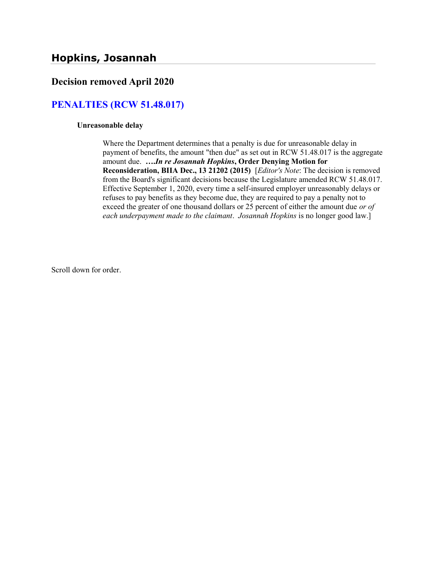## Decision removed April 2020

## PENALTIES (RCW 51.48.017)

#### Unreasonable delay

Where the Department determines that a penalty is due for unreasonable delay in payment of benefits, the amount "then due" as set out in RCW 51.48.017 is the aggregate amount due. ….In re Josannah Hopkins, Order Denying Motion for Reconsideration, BIIA Dec., 13 21202 (2015) [Editor's Note: The decision is removed from the Board's significant decisions because the Legislature amended RCW 51.48.017. Effective September 1, 2020, every time a self-insured employer unreasonably delays or refuses to pay benefits as they become due, they are required to pay a penalty not to exceed the greater of one thousand dollars or 25 percent of either the amount due or of each underpayment made to the claimant. Josannah Hopkins is no longer good law.]

Scroll down for order.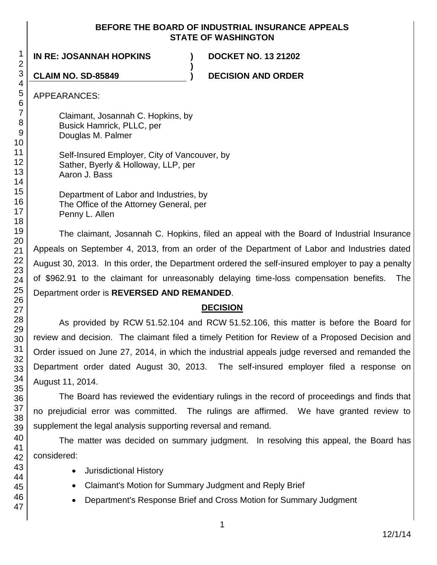#### **BEFORE THE BOARD OF INDUSTRIAL INSURANCE APPEALS STATE OF WASHINGTON**

**)**

**IN RE: JOSANNAH HOPKINS ) DOCKET NO. 13 21202**

**CLAIM NO. SD-85849 ) DECISION AND ORDER**

APPEARANCES:

Claimant, Josannah C. Hopkins, by Busick Hamrick, PLLC, per Douglas M. Palmer

Self-Insured Employer, City of Vancouver, by Sather, Byerly & Holloway, LLP, per Aaron J. Bass

Department of Labor and Industries, by The Office of the Attorney General, per Penny L. Allen

The claimant, Josannah C. Hopkins, filed an appeal with the Board of Industrial Insurance Appeals on September 4, 2013, from an order of the Department of Labor and Industries dated August 30, 2013. In this order, the Department ordered the self-insured employer to pay a penalty of \$962.91 to the claimant for unreasonably delaying time-loss compensation benefits. The Department order is **REVERSED AND REMANDED**.

## **DECISION**

As provided by RCW 51.52.104 and RCW 51.52.106, this matter is before the Board for review and decision. The claimant filed a timely Petition for Review of a Proposed Decision and Order issued on June 27, 2014, in which the industrial appeals judge reversed and remanded the Department order dated August 30, 2013. The self-insured employer filed a response on August 11, 2014.

The Board has reviewed the evidentiary rulings in the record of proceedings and finds that no prejudicial error was committed. The rulings are affirmed. We have granted review to supplement the legal analysis supporting reversal and remand.

The matter was decided on summary judgment. In resolving this appeal, the Board has considered:

- Jurisdictional History
- Claimant's Motion for Summary Judgment and Reply Brief
- Department's Response Brief and Cross Motion for Summary Judgment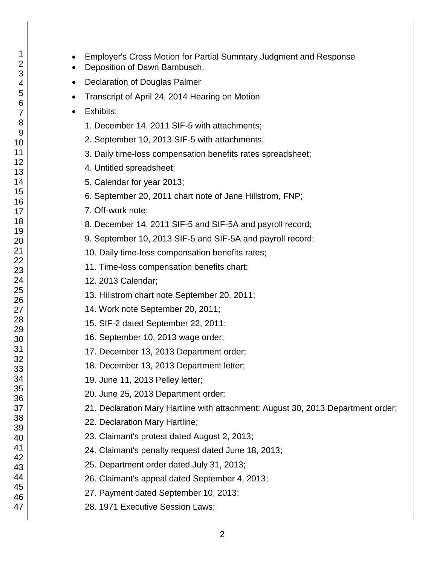- Employer's Cross Motion for Partial Summary Judgment and Response
- Deposition of Dawn Bambusch.
- Declaration of Douglas Palmer
- Transcript of April 24, 2014 Hearing on Motion
- Exhibits:
	- 1. December 14, 2011 SIF-5 with attachments;
	- 2. September 10, 2013 SIF-5 with attachments;
	- 3. Daily time-loss compensation benefits rates spreadsheet;
	- 4. Untitled spreadsheet;
	- 5. Calendar for year 2013;
	- 6. September 20, 2011 chart note of Jane Hillstrom, FNP;
	- 7. Off-work note;
	- 8. December 14, 2011 SIF-5 and SIF-5A and payroll record;
	- 9. September 10, 2013 SIF-5 and SIF-5A and payroll record;
	- 10. Daily time-loss compensation benefits rates;
	- 11. Time-loss compensation benefits chart;
	- 12. 2013 Calendar;
	- 13. Hillstrom chart note September 20, 2011;
	- 14. Work note September 20, 2011;
	- 15. SIF-2 dated September 22, 2011;
	- 16. September 10, 2013 wage order;
	- 17. December 13, 2013 Department order;
	- 18. December 13, 2013 Department letter;
	- 19. June 11, 2013 Pelley letter;
	- 20. June 25, 2013 Department order;
	- 21. Declaration Mary Hartline with attachment: August 30, 2013 Department order;
	- 22. Declaration Mary Hartline;
	- 23. Claimant's protest dated August 2, 2013;
	- 24. Claimant's penalty request dated June 18, 2013;
	- 25. Department order dated July 31, 2013;
	- 26. Claimant's appeal dated September 4, 2013;
	- 27. Payment dated September 10, 2013;
	- 28. 1971 Executive Session Laws;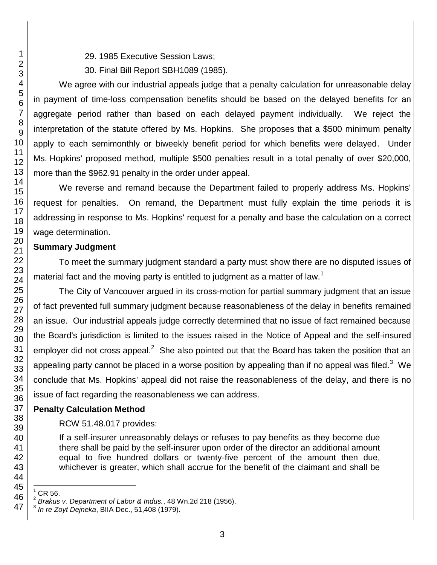29. 1985 Executive Session Laws;

30. Final Bill Report SBH1089 (1985).

We agree with our industrial appeals judge that a penalty calculation for unreasonable delay in payment of time-loss compensation benefits should be based on the delayed benefits for an aggregate period rather than based on each delayed payment individually. We reject the interpretation of the statute offered by Ms. Hopkins. She proposes that a \$500 minimum penalty apply to each semimonthly or biweekly benefit period for which benefits were delayed. Under Ms. Hopkins' proposed method, multiple \$500 penalties result in a total penalty of over \$20,000, more than the \$962.91 penalty in the order under appeal.

We reverse and remand because the Department failed to properly address Ms. Hopkins' request for penalties. On remand, the Department must fully explain the time periods it is addressing in response to Ms. Hopkins' request for a penalty and base the calculation on a correct wage determination.

## **Summary Judgment**

To meet the summary judgment standard a party must show there are no disputed issues of material fact and the moving party is entitled to judgment as a matter of law.<sup>1</sup>

The City of Vancouver argued in its cross-motion for partial summary judgment that an issue of fact prevented full summary judgment because reasonableness of the delay in benefits remained an issue. Our industrial appeals judge correctly determined that no issue of fact remained because the Board's jurisdiction is limited to the issues raised in the Notice of Appeal and the self-insured employer did not cross appeal.<sup>2</sup> She also pointed out that the Board has taken the position that an appealing party cannot be placed in a worse position by appealing than if no appeal was filed.<sup>3</sup> We conclude that Ms. Hopkins' appeal did not raise the reasonableness of the delay, and there is no issue of fact regarding the reasonableness we can address.

# **Penalty Calculation Method**

## RCW 51.48.017 provides:

If a self-insurer unreasonably delays or refuses to pay benefits as they become due there shall be paid by the self-insurer upon order of the director an additional amount equal to five hundred dollars or twenty-five percent of the amount then due, whichever is greater, which shall accrue for the benefit of the claimant and shall be

l CR 56.

<sup>2</sup> *Brakus v. Department of Labor & Indus.*, 48 Wn.2d 218 (1956).

<sup>3</sup> *In re Zoyt Dejneka*, BIIA Dec., 51,408 (1979).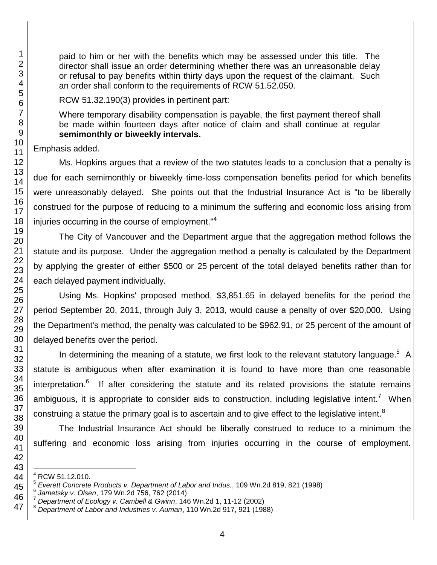paid to him or her with the benefits which may be assessed under this title. The director shall issue an order determining whether there was an unreasonable delay or refusal to pay benefits within thirty days upon the request of the claimant. Such an order shall conform to the requirements of RCW 51.52.050.

RCW 51.32.190(3) provides in pertinent part:

Where temporary disability compensation is payable, the first payment thereof shall be made within fourteen days after notice of claim and shall continue at regular **semimonthly or biweekly intervals.**

Emphasis added.

Ms. Hopkins argues that a review of the two statutes leads to a conclusion that a penalty is due for each semimonthly or biweekly time-loss compensation benefits period for which benefits were unreasonably delayed. She points out that the Industrial Insurance Act is "to be liberally construed for the purpose of reducing to a minimum the suffering and economic loss arising from injuries occurring in the course of employment."<sup>4</sup>

The City of Vancouver and the Department argue that the aggregation method follows the statute and its purpose. Under the aggregation method a penalty is calculated by the Department by applying the greater of either \$500 or 25 percent of the total delayed benefits rather than for each delayed payment individually.

Using Ms. Hopkins' proposed method, \$3,851.65 in delayed benefits for the period the period September 20, 2011, through July 3, 2013, would cause a penalty of over \$20,000. Using the Department's method, the penalty was calculated to be \$962.91, or 25 percent of the amount of delayed benefits over the period.

In determining the meaning of a statute, we first look to the relevant statutory language.<sup>5</sup> A statute is ambiguous when after examination it is found to have more than one reasonable interpretation.<sup>6</sup> If after considering the statute and its related provisions the statute remains ambiguous, it is appropriate to consider aids to construction, including legislative intent.<sup>7</sup> When construing a statue the primary goal is to ascertain and to give effect to the legislative intent.<sup>8</sup>

The Industrial Insurance Act should be liberally construed to reduce to a minimum the suffering and economic loss arising from injuries occurring in the course of employment.

l RCW 51.12.010.

 *Everett Concrete Products v. Department of Labor and Indus.*, 109 Wn.2d 819, 821 (1998)

 *Jametsky v. Olsen*, 179 Wn.2d 756, 762 (2014)

*Department of Ecology v. Cambell & Gwinn*, 146 Wn.2d 1, 11-12 (2002)

*Department of Labor and Industries v. Auman*, 110 Wn.2d 917, 921 (1988)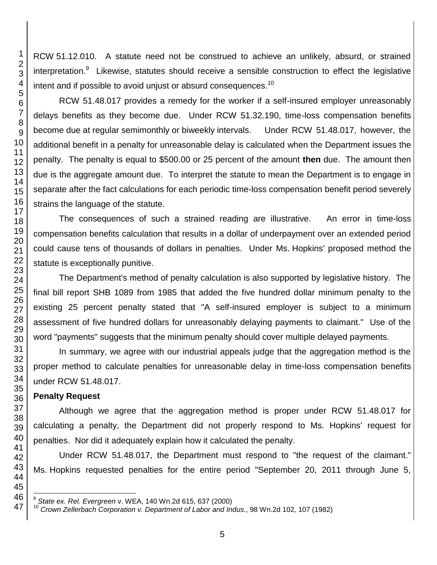RCW 51.12.010. A statute need not be construed to achieve an unlikely, absurd, or strained interpretation.<sup>9</sup> Likewise, statutes should receive a sensible construction to effect the legislative intent and if possible to avoid unjust or absurd consequences.<sup>10</sup>

RCW 51.48.017 provides a remedy for the worker if a self-insured employer unreasonably delays benefits as they become due. Under RCW 51.32.190, time-loss compensation benefits become due at regular semimonthly or biweekly intervals. Under RCW 51.48.017, however, the additional benefit in a penalty for unreasonable delay is calculated when the Department issues the penalty. The penalty is equal to \$500.00 or 25 percent of the amount **then** due. The amount then due is the aggregate amount due. To interpret the statute to mean the Department is to engage in separate after the fact calculations for each periodic time-loss compensation benefit period severely strains the language of the statute.

The consequences of such a strained reading are illustrative. An error in time-loss compensation benefits calculation that results in a dollar of underpayment over an extended period could cause tens of thousands of dollars in penalties. Under Ms. Hopkins' proposed method the statute is exceptionally punitive.

The Department's method of penalty calculation is also supported by legislative history. The final bill report SHB 1089 from 1985 that added the five hundred dollar minimum penalty to the existing 25 percent penalty stated that "A self-insured employer is subject to a minimum assessment of five hundred dollars for unreasonably delaying payments to claimant." Use of the word "payments" suggests that the minimum penalty should cover multiple delayed payments.

In summary, we agree with our industrial appeals judge that the aggregation method is the proper method to calculate penalties for unreasonable delay in time-loss compensation benefits under RCW 51.48.017.

## **Penalty Request**

l

Although we agree that the aggregation method is proper under RCW 51.48.017 for calculating a penalty, the Department did not properly respond to Ms. Hopkins' request for penalties. Nor did it adequately explain how it calculated the penalty.

Under RCW 51.48.017, the Department must respond to "the request of the claimant." Ms. Hopkins requested penalties for the entire period "September 20, 2011 through June 5,

 *State ex. Rel. Evergreen* v. WEA, 140 Wn.2d 615, 637 (2000)

*Crown Zellerbach Corporation v. Department of Labor and Indus.*, 98 Wn.2d 102, 107 (1982)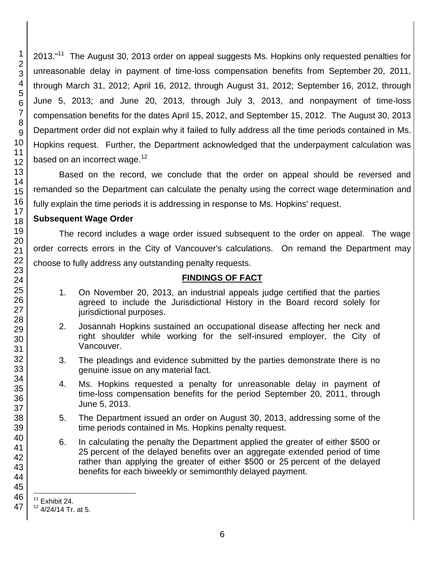2013."<sup>11</sup> The August 30, 2013 order on appeal suggests Ms. Hopkins only requested penalties for unreasonable delay in payment of time-loss compensation benefits from September 20, 2011, through March 31, 2012; April 16, 2012, through August 31, 2012; September 16, 2012, through June 5, 2013; and June 20, 2013, through July 3, 2013, and nonpayment of time-loss compensation benefits for the dates April 15, 2012, and September 15, 2012. The August 30, 2013 Department order did not explain why it failed to fully address all the time periods contained in Ms. Hopkins request. Further, the Department acknowledged that the underpayment calculation was based on an incorrect wage.

Based on the record, we conclude that the order on appeal should be reversed and remanded so the Department can calculate the penalty using the correct wage determination and fully explain the time periods it is addressing in response to Ms. Hopkins' request.

#### **Subsequent Wage Order**

The record includes a wage order issued subsequent to the order on appeal. The wage order corrects errors in the City of Vancouver's calculations. On remand the Department may choose to fully address any outstanding penalty requests.

## **FINDINGS OF FACT**

- 1. On November 20, 2013, an industrial appeals judge certified that the parties agreed to include the Jurisdictional History in the Board record solely for jurisdictional purposes.
- 2. Josannah Hopkins sustained an occupational disease affecting her neck and right shoulder while working for the self-insured employer, the City of Vancouver.
- 3. The pleadings and evidence submitted by the parties demonstrate there is no genuine issue on any material fact.
- 4. Ms. Hopkins requested a penalty for unreasonable delay in payment of time-loss compensation benefits for the period September 20, 2011, through June 5, 2013.
- 5. The Department issued an order on August 30, 2013, addressing some of the time periods contained in Ms. Hopkins penalty request.
- 6. In calculating the penalty the Department applied the greater of either \$500 or percent of the delayed benefits over an aggregate extended period of time rather than applying the greater of either \$500 or 25 percent of the delayed benefits for each biweekly or semimonthly delayed payment.

l Exhibit 24.

4/24/14 Tr. at 5.